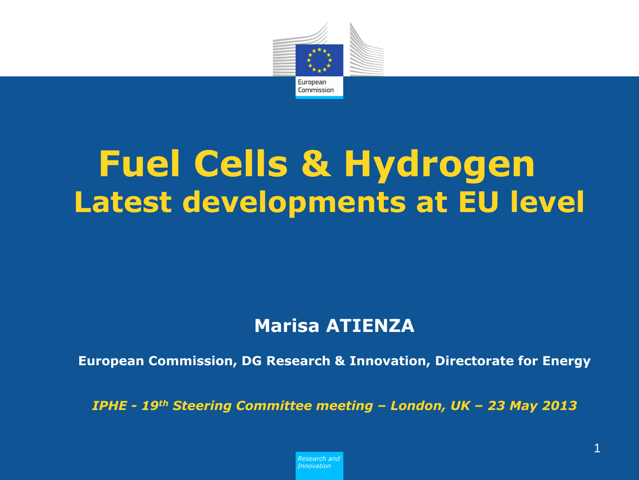

### **Fuel Cells & Hydrogen Latest developments at EU level**

#### **Marisa ATIENZA**

**European Commission, DG Research & Innovation, Directorate for Energy**

*IPHE - 19th Steering Committee meeting – London, UK – 23 May 2013*

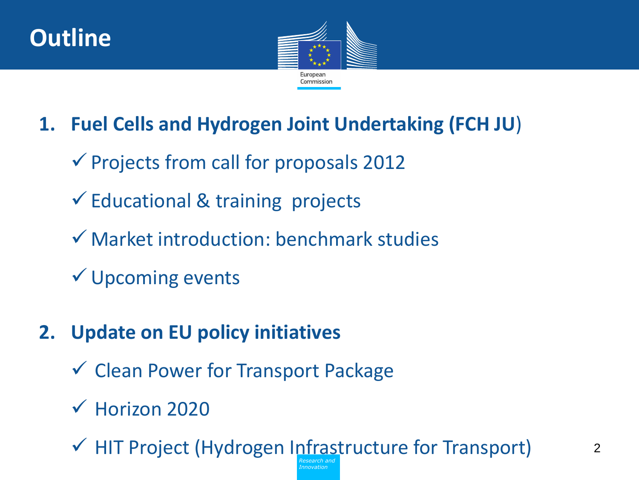



#### **1. Fuel Cells and Hydrogen Joint Undertaking (FCH JU**)

- $\checkmark$  Projects from call for proposals 2012
- $\checkmark$  Educational & training projects
- $\checkmark$  Market introduction: benchmark studies
- Upcoming events
- **2. Update on EU policy initiatives**
	- $\checkmark$  Clean Power for Transport Package
	- $\sqrt{\phantom{0}}$  Horizon 2020

*Research and*  $\checkmark$  HIT Project (Hydrogen Infrastructure for Transport)

*Innovation*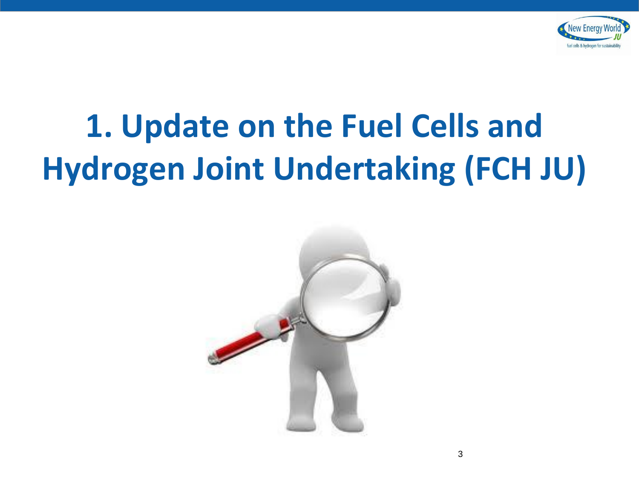

## **1. Update on the Fuel Cells and Hydrogen Joint Undertaking (FCH JU)**

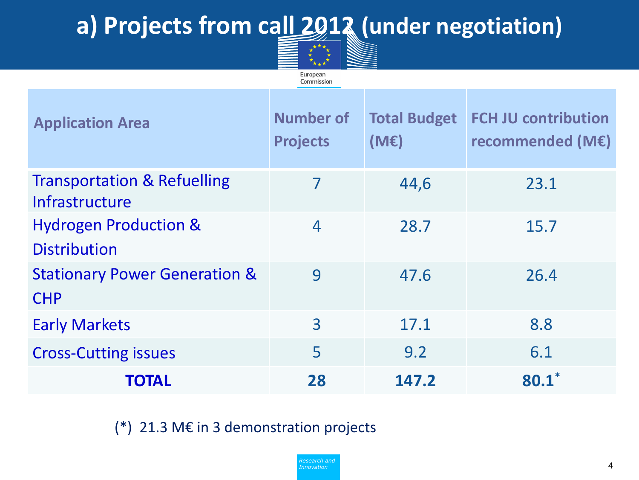#### **a) Projects from call 2012 (under negotiation)**



| <b>Application Area</b>                                  | <b>Number of</b><br><b>Projects</b> | <b>Total Budget</b><br>(ME) | <b>FCH JU contribution</b><br>recommended (M€) |
|----------------------------------------------------------|-------------------------------------|-----------------------------|------------------------------------------------|
| <b>Transportation &amp; Refuelling</b><br>Infrastructure | 7                                   | 44,6                        | 23.1                                           |
| <b>Hydrogen Production &amp;</b><br><b>Distribution</b>  | $\overline{4}$                      | 28.7                        | 15.7                                           |
| <b>Stationary Power Generation &amp;</b><br><b>CHP</b>   | 9                                   | 47.6                        | 26.4                                           |
| <b>Early Markets</b>                                     | $\overline{3}$                      | 17.1                        | 8.8                                            |
| <b>Cross-Cutting issues</b>                              | 5                                   | 9.2                         | 6.1                                            |
| TOTAL                                                    | 28                                  | 147.2                       | $80.1*$                                        |

(\*) 21.3 M€ in 3 demonstration projects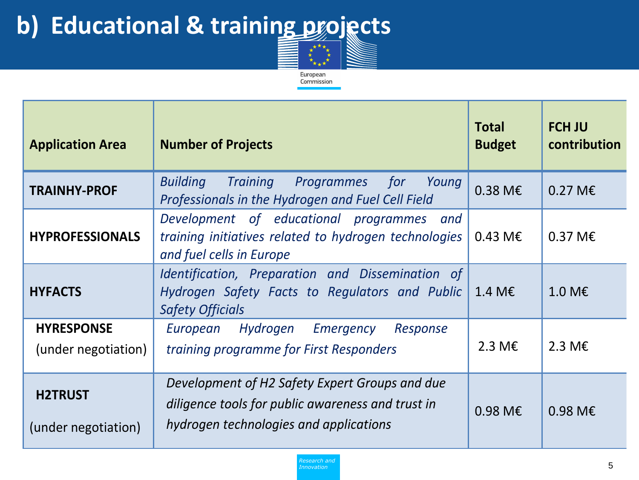### **b) Educational & training projects**



| <b>Application Area</b>                  | <b>Number of Projects</b>                                                                                                                     | <b>Total</b><br><b>Budget</b> | <b>FCH JU</b><br>contribution |
|------------------------------------------|-----------------------------------------------------------------------------------------------------------------------------------------------|-------------------------------|-------------------------------|
| <b>TRAINHY-PROF</b>                      | <b>Building Training</b><br><i>for</i><br>Programmes<br>Young<br>Professionals in the Hydrogen and Fuel Cell Field                            | $0.38 \text{ M} \in$          | $0.27 \text{ M} \in$          |
| <b>HYPROFESSIONALS</b>                   | Development of educational programmes<br>and<br>training initiatives related to hydrogen technologies<br>and fuel cells in Europe             | $0.43 \, \text{M} \epsilon$   | $0.37 \text{ M} \in$          |
| <b>HYFACTS</b>                           | Identification, Preparation and Dissemination of<br>Hydrogen Safety Facts to Regulators and Public<br><b>Safety Officials</b>                 | 1.4 M $\epsilon$              | 1.0 M $\epsilon$              |
| <b>HYRESPONSE</b><br>(under negotiation) | Hydrogen Emergency<br>European<br>Response<br>training programme for First Responders                                                         | 2.3 M $\epsilon$              | 2.3 M $\epsilon$              |
| <b>H2TRUST</b><br>(under negotiation)    | Development of H2 Safety Expert Groups and due<br>diligence tools for public awareness and trust in<br>hydrogen technologies and applications | $0.98$ M <sub>€</sub>         | $0.98$ M <sub>€</sub>         |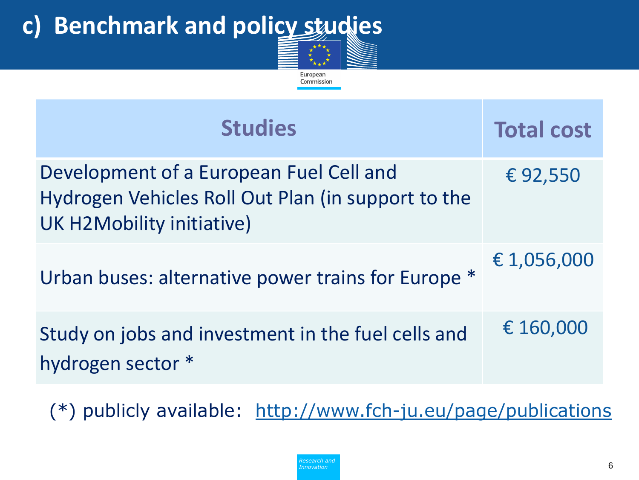### **c) Benchmark and policy studies**

| CONTINISSION                                                                                                               |                   |  |  |  |
|----------------------------------------------------------------------------------------------------------------------------|-------------------|--|--|--|
| <b>Studies</b>                                                                                                             | <b>Total cost</b> |  |  |  |
| Development of a European Fuel Cell and<br>Hydrogen Vehicles Roll Out Plan (in support to the<br>UK H2Mobility initiative) | €92,550           |  |  |  |
| Urban buses: alternative power trains for Europe *                                                                         | € 1,056,000       |  |  |  |
| Study on jobs and investment in the fuel cells and<br>hydrogen sector *                                                    | € 160,000         |  |  |  |

European  $\mathbf{r}$ 

(\*) publicly available: <http://www.fch-ju.eu/page/publications>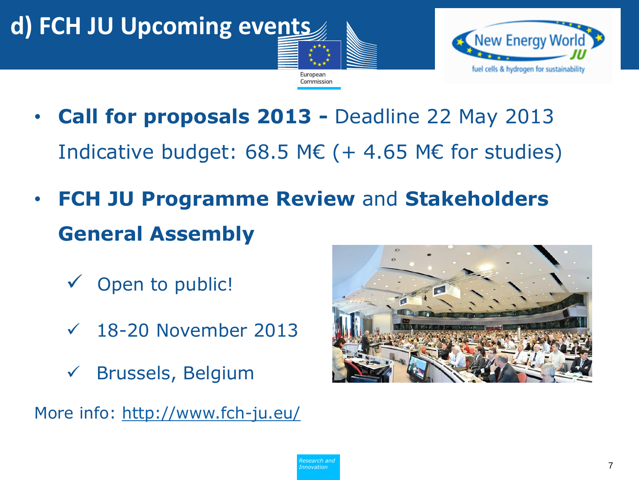### **d) FCH JU Upcoming events**



• **Call for proposals 2013 -** Deadline 22 May 2013 Indicative budget: 68.5 M $\epsilon$  (+ 4.65 M $\epsilon$  for studies)

European Commission

- **FCH JU Programme Review** and **Stakeholders General Assembly**
	- $\checkmark$  Open to public!
	- $\sqrt{18-20}$  November 2013
	- Brussels, Belgium

More info:<http://www.fch-ju.eu/>

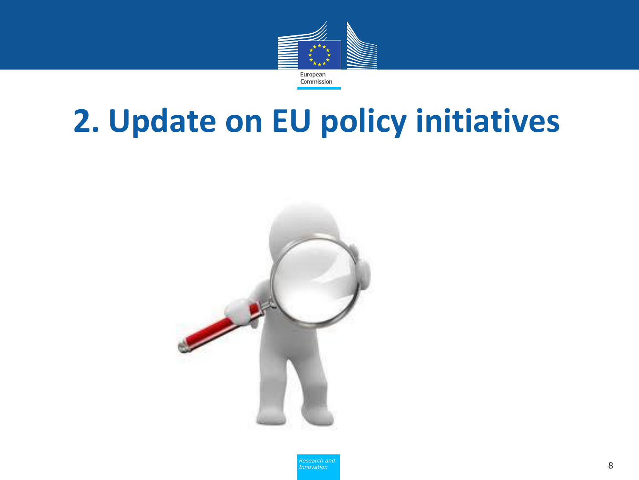

### **2. Update on EU policy initiatives**



*Research and Innovation*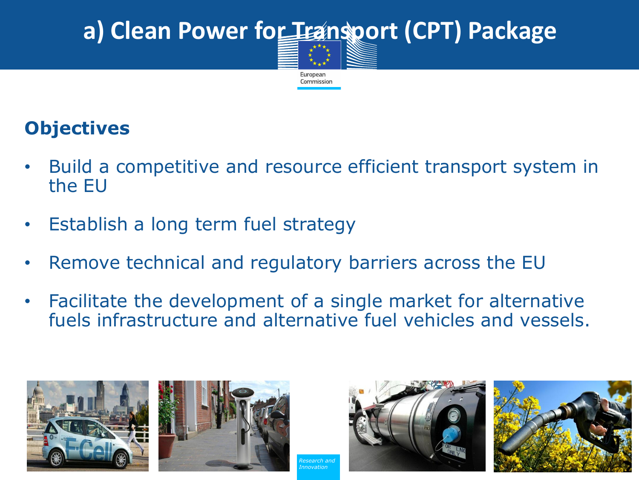## a) Clean Power for Transport (CPT) Package

European Commission

#### **Objectives**

- Build a competitive and resource efficient transport system in the EU
- Establish a long term fuel strategy
- Remove technical and regulatory barriers across the EU
- Facilitate the development of a single market for alternative fuels infrastructure and alternative fuel vehicles and vessels.







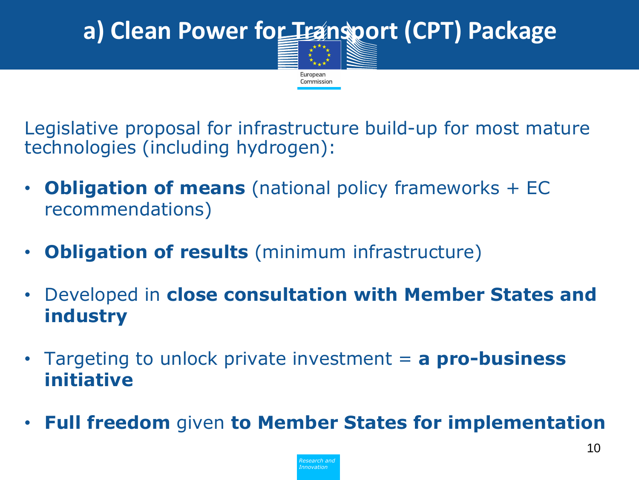# a) Clean Power for Transport (CPT) Package

European Commission

Legislative proposal for infrastructure build-up for most mature technologies (including hydrogen):

- **Obligation of means** (national policy frameworks + EC recommendations)
- **Obligation of results** (minimum infrastructure)
- Developed in **close consultation with Member States and industry**
- Targeting to unlock private investment = **a pro-business initiative**
- **Full freedom** given **to Member States for implementation**

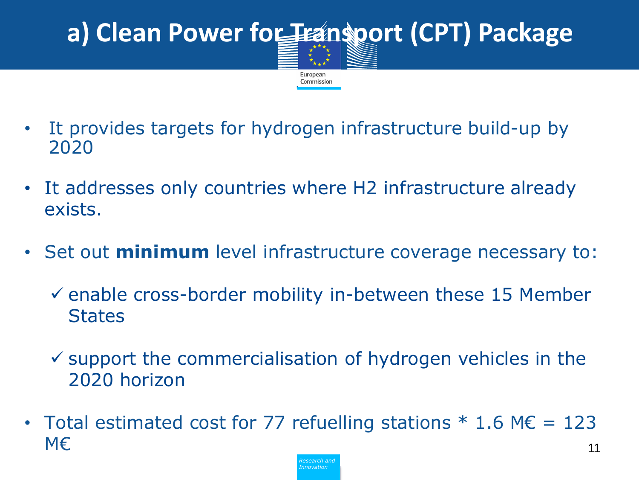#### a) Clean Power for Fransport (CPT) Package European Commission

- It provides targets for hydrogen infrastructure build-up by 2020
- It addresses only countries where H2 infrastructure already exists.
- Set out **minimum** level infrastructure coverage necessary to:
	- $\checkmark$  enable cross-border mobility in-between these 15 Member **States**
	- $\checkmark$  support the commercialisation of hydrogen vehicles in the 2020 horizon
- 11 • Total estimated cost for 77 refuelling stations  $*$  1.6 M $\epsilon$  = 123 M€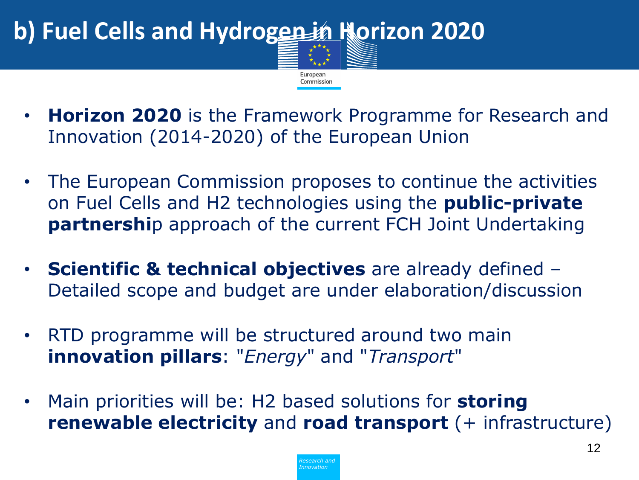

- **Horizon 2020** is the Framework Programme for Research and Innovation (2014-2020) of the European Union
- The European Commission proposes to continue the activities on Fuel Cells and H2 technologies using the **public-private partnershi**p approach of the current FCH Joint Undertaking
- **Scientific & technical objectives** are already defined Detailed scope and budget are under elaboration/discussion
- RTD programme will be structured around two main **innovation pillars**: "*Energy*" and "*Transport*"
- Main priorities will be: H2 based solutions for **storing renewable electricity** and **road transport** (+ infrastructure)

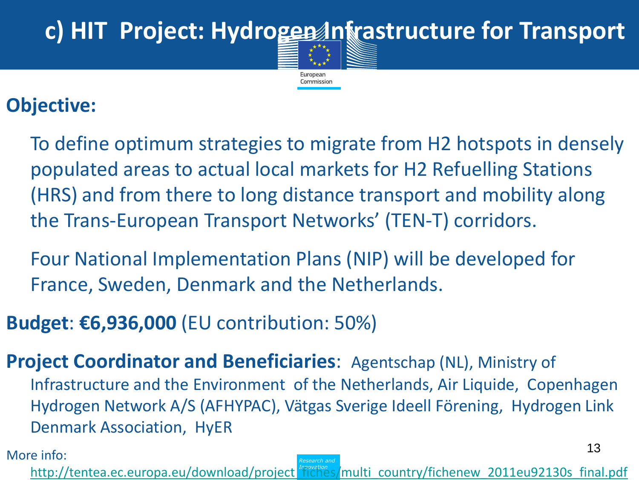# c) HIT Project: Hydrogen Infrastructure for Transport

European Commission

#### **Objective:**

To define optimum strategies to migrate from H2 hotspots in densely populated areas to actual local markets for H2 Refuelling Stations (HRS) and from there to long distance transport and mobility along the Trans-European Transport Networks' (TEN-T) corridors.

Four National Implementation Plans (NIP) will be developed for France, Sweden, Denmark and the Netherlands.

**Budget**: **€6,936,000** (EU contribution: 50%)

**Project Coordinator and Beneficiaries:** Agentschap (NL), Ministry of Infrastructure and the Environment of the Netherlands, Air Liquide, Copenhagen Hydrogen Network A/S (AFHYPAC), Vätgas Sverige Ideell Förening, Hydrogen Link Denmark Association, HyER

*Research and Innovation* [http://tentea.ec.europa.eu/download/project\\_fiches/multi\\_country/fichenew\\_2011eu92130s\\_final.pdf](http://tentea.ec.europa.eu/download/project_fiches/multi_country/fichenew_2011eu92130s_final.pdf)

More info: